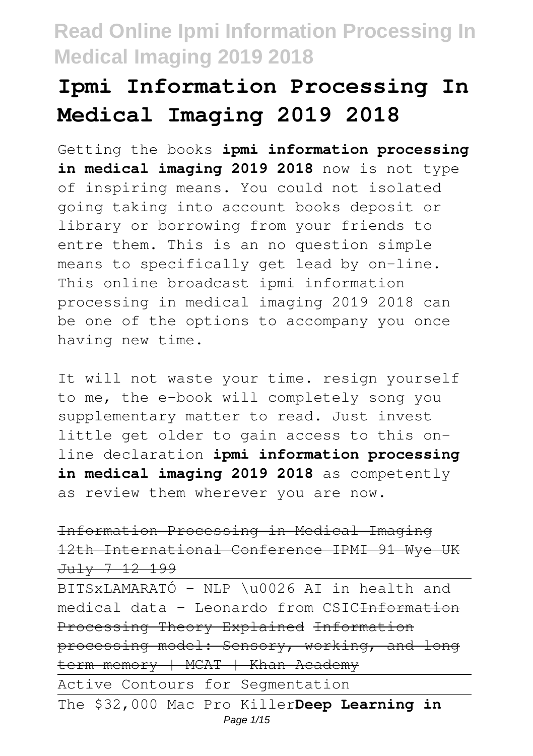# **Ipmi Information Processing In Medical Imaging 2019 2018**

Getting the books **ipmi information processing in medical imaging 2019 2018** now is not type of inspiring means. You could not isolated going taking into account books deposit or library or borrowing from your friends to entre them. This is an no question simple means to specifically get lead by on-line. This online broadcast ipmi information processing in medical imaging 2019 2018 can be one of the options to accompany you once having new time.

It will not waste your time. resign yourself to me, the e-book will completely song you supplementary matter to read. Just invest little get older to gain access to this online declaration **ipmi information processing in medical imaging 2019 2018** as competently as review them wherever you are now.

Information Processing in Medical Imaging 12th International Conference IPMI 91 Wye UK July 7 12 199

BITSxLAMARATÓ - NLP \u0026 AI in health and medical data - Leonardo from CSIC<del>Information</del> Processing Theory Explained Information processing model: Sensory, working, and long term memory | MCAT | Khan Academy Active Contours for Segmentation The \$32,000 Mac Pro Killer**Deep Learning in** Page 1/15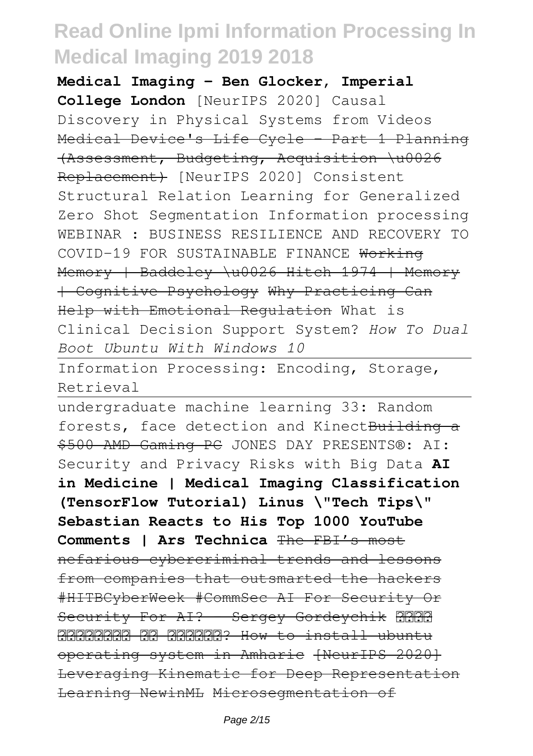**Medical Imaging - Ben Glocker, Imperial College London** [NeurIPS 2020] Causal Discovery in Physical Systems from Videos Medical Device's Life Cycle - Part 1 Planning (Assessment, Budgeting, Acquisition \u0026 Replacement) [NeurIPS 2020] Consistent Structural Relation Learning for Generalized Zero Shot Segmentation Information processing WEBINAR : BUSINESS RESILIENCE AND RECOVERY TO COVID-19 FOR SUSTAINABLE FINANCE Working Memory | Baddeley \u0026 Hitch 1974 | Memory | Cognitive Psychology Why Practicing Can Help with Emotional Regulation What is Clinical Decision Support System? *How To Dual Boot Ubuntu With Windows 10*

Information Processing: Encoding, Storage, Retrieval

undergraduate machine learning 33: Random forests, face detection and KinectBuilding a \$500 AMD Gaming PC JONES DAY PRESENTS®: AI: Security and Privacy Risks with Big Data **AI in Medicine | Medical Imaging Classification (TensorFlow Tutorial) Linus \"Tech Tips\" Sebastian Reacts to His Top 1000 YouTube Comments | Ars Technica** The FBI's most nefarious cybercriminal trends and lessons from companies that outsmarted the hackers #HITBCyberWeek #CommSec AI For Security Or Security For AI? - Sergey Gordeychik **HARA** በኮምፕተራችን ላይ እንጭናለን? How to install ubuntu operating system in Amharic [NeurIPS 2020] Leveraging Kinematic for Deep Representation Learning NewinML Microsegmentation of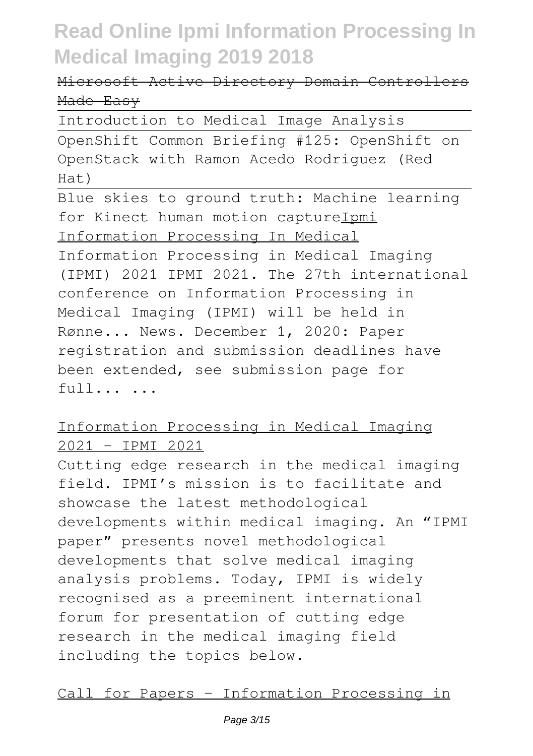### Microsoft Active Directory Domain Controllers Made Easy

Introduction to Medical Image Analysis

OpenShift Common Briefing #125: OpenShift on OpenStack with Ramon Acedo Rodriguez (Red  $Hat)$ 

Blue skies to ground truth: Machine learning for Kinect human motion captureIpmi Information Processing In Medical Information Processing in Medical Imaging (IPMI) 2021 IPMI 2021. The 27th international conference on Information Processing in Medical Imaging (IPMI) will be held in Rønne... News. December 1, 2020: Paper registration and submission deadlines have been extended, see submission page for full... ...

### Information Processing in Medical Imaging 2021 – IPMI 2021

Cutting edge research in the medical imaging field. IPMI's mission is to facilitate and showcase the latest methodological developments within medical imaging. An "IPMI paper" presents novel methodological developments that solve medical imaging analysis problems. Today, IPMI is widely recognised as a preeminent international forum for presentation of cutting edge research in the medical imaging field including the topics below.

Call for Papers – Information Processing in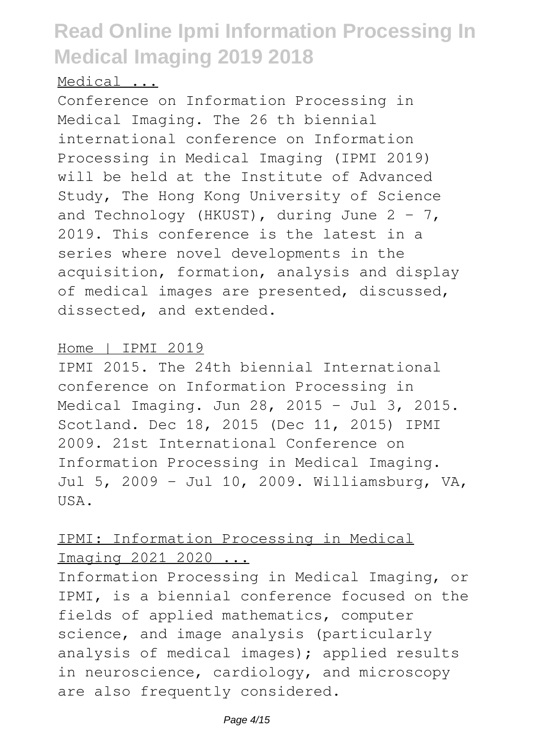#### Medical ...

Conference on Information Processing in Medical Imaging. The 26 th biennial international conference on Information Processing in Medical Imaging (IPMI 2019) will be held at the Institute of Advanced Study, The Hong Kong University of Science and Technology (HKUST), during June  $2 - 7$ , 2019. This conference is the latest in a series where novel developments in the acquisition, formation, analysis and display of medical images are presented, discussed, dissected, and extended.

#### Home | IPMI 2019

IPMI 2015. The 24th biennial International conference on Information Processing in Medical Imaging. Jun 28, 2015 - Jul 3, 2015. Scotland. Dec 18, 2015 (Dec 11, 2015) IPMI 2009. 21st International Conference on Information Processing in Medical Imaging. Jul 5, 2009 - Jul 10, 2009. Williamsburg, VA, USA.

#### IPMI: Information Processing in Medical Imaging 2021 2020 ...

Information Processing in Medical Imaging, or IPMI, is a biennial conference focused on the fields of applied mathematics, computer science, and image analysis (particularly analysis of medical images); applied results in neuroscience, cardiology, and microscopy are also frequently considered.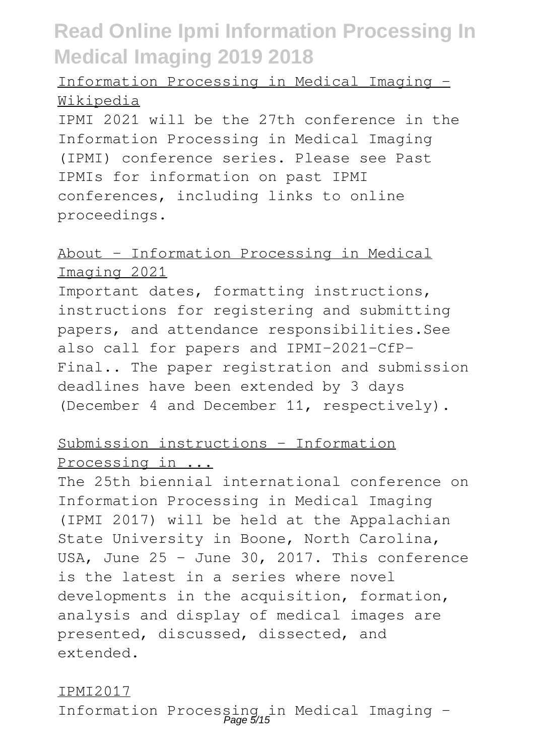### Information Processing in Medical Imaging - Wikipedia

IPMI 2021 will be the 27th conference in the Information Processing in Medical Imaging (IPMI) conference series. Please see Past IPMIs for information on past IPMI conferences, including links to online proceedings.

#### About – Information Processing in Medical Imaging 2021

Important dates, formatting instructions, instructions for registering and submitting papers, and attendance responsibilities.See also call for papers and IPMI-2021-CfP-Final.. The paper registration and submission deadlines have been extended by 3 days (December 4 and December 11, respectively).

### Submission instructions – Information Processing in ...

The 25th biennial international conference on Information Processing in Medical Imaging (IPMI 2017) will be held at the Appalachian State University in Boone, North Carolina, USA, June 25 - June 30, 2017. This conference is the latest in a series where novel developments in the acquisition, formation, analysis and display of medical images are presented, discussed, dissected, and extended.

#### IPMI2017

Information Processing in Medical Imaging - Page 5/15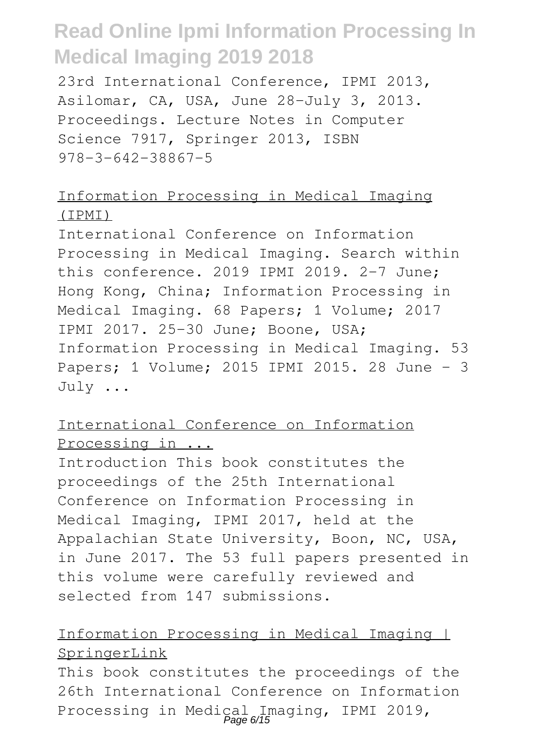23rd International Conference, IPMI 2013, Asilomar, CA, USA, June 28-July 3, 2013. Proceedings. Lecture Notes in Computer Science 7917, Springer 2013, ISBN 978-3-642-38867-5

#### Information Processing in Medical Imaging (IPMI)

International Conference on Information Processing in Medical Imaging. Search within this conference. 2019 IPMI 2019. 2-7 June; Hong Kong, China; Information Processing in Medical Imaging. 68 Papers; 1 Volume; 2017 IPMI 2017. 25-30 June; Boone, USA; Information Processing in Medical Imaging. 53 Papers; 1 Volume; 2015 IPMI 2015. 28 June - 3 July ...

#### International Conference on Information Processing in ...

Introduction This book constitutes the proceedings of the 25th International Conference on Information Processing in Medical Imaging, IPMI 2017, held at the Appalachian State University, Boon, NC, USA, in June 2017. The 53 full papers presented in this volume were carefully reviewed and selected from 147 submissions.

#### Information Processing in Medical Imaging | SpringerLink

This book constitutes the proceedings of the 26th International Conference on Information Processing in Medical Imaging, IPMI 2019,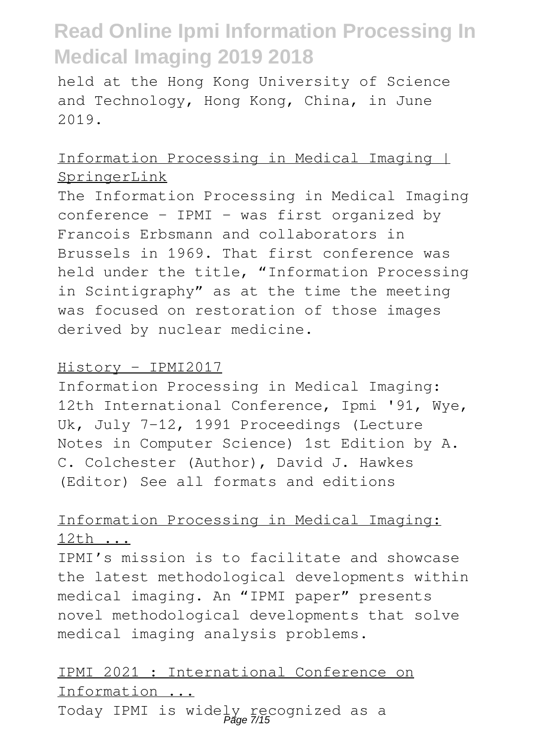held at the Hong Kong University of Science and Technology, Hong Kong, China, in June 2019.

#### Information Processing in Medical Imaging | SpringerLink

The Information Processing in Medical Imaging conference – IPMI - was first organized by Francois Erbsmann and collaborators in Brussels in 1969. That first conference was held under the title, "Information Processing in Scintigraphy" as at the time the meeting was focused on restoration of those images derived by nuclear medicine.

#### History - IPMI2017

Information Processing in Medical Imaging: 12th International Conference, Ipmi '91, Wye, Uk, July 7-12, 1991 Proceedings (Lecture Notes in Computer Science) 1st Edition by A. C. Colchester (Author), David J. Hawkes (Editor) See all formats and editions

#### Information Processing in Medical Imaging: 12th ...

IPMI's mission is to facilitate and showcase the latest methodological developments within medical imaging. An "IPMI paper" presents novel methodological developments that solve medical imaging analysis problems.

#### IPMI 2021 : International Conference on Information ...

Today IPMI is widely recognized as a Page 7/15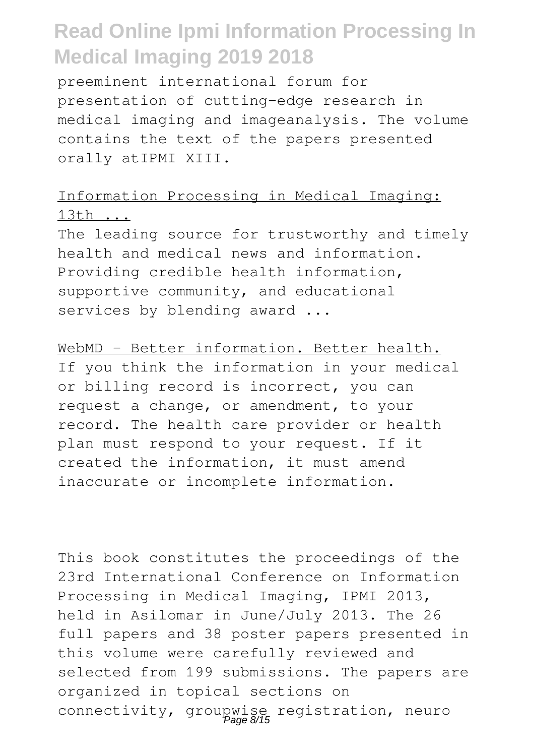preeminent international forum for presentation of cutting-edge research in medical imaging and imageanalysis. The volume contains the text of the papers presented orally atIPMI XIII.

### Information Processing in Medical Imaging: 13th ...

The leading source for trustworthy and timely health and medical news and information. Providing credible health information, supportive community, and educational services by blending award ...

WebMD - Better information. Better health.

If you think the information in your medical or billing record is incorrect, you can request a change, or amendment, to your record. The health care provider or health plan must respond to your request. If it created the information, it must amend inaccurate or incomplete information.

This book constitutes the proceedings of the 23rd International Conference on Information Processing in Medical Imaging, IPMI 2013, held in Asilomar in June/July 2013. The 26 full papers and 38 poster papers presented in this volume were carefully reviewed and selected from 199 submissions. The papers are organized in topical sections on connectivity, groupwise registration, neuro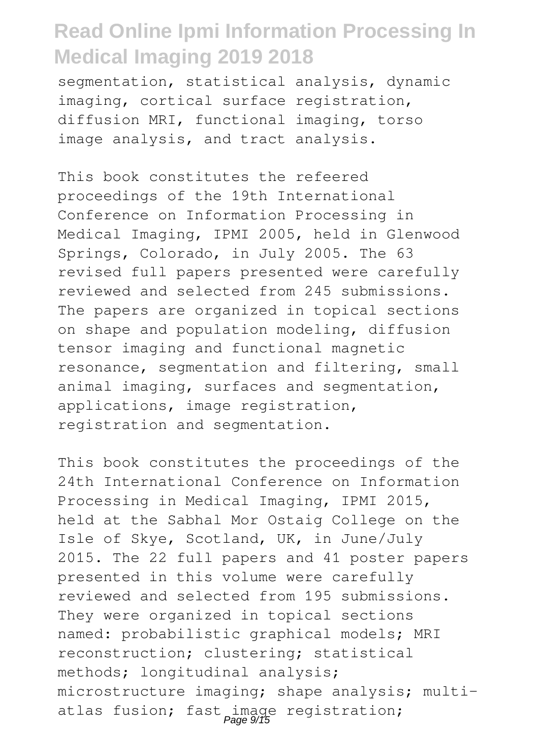segmentation, statistical analysis, dynamic imaging, cortical surface registration, diffusion MRI, functional imaging, torso image analysis, and tract analysis.

This book constitutes the refeered proceedings of the 19th International Conference on Information Processing in Medical Imaging, IPMI 2005, held in Glenwood Springs, Colorado, in July 2005. The 63 revised full papers presented were carefully reviewed and selected from 245 submissions. The papers are organized in topical sections on shape and population modeling, diffusion tensor imaging and functional magnetic resonance, segmentation and filtering, small animal imaging, surfaces and segmentation, applications, image registration, registration and segmentation.

This book constitutes the proceedings of the 24th International Conference on Information Processing in Medical Imaging, IPMI 2015, held at the Sabhal Mor Ostaig College on the Isle of Skye, Scotland, UK, in June/July 2015. The 22 full papers and 41 poster papers presented in this volume were carefully reviewed and selected from 195 submissions. They were organized in topical sections named: probabilistic graphical models; MRI reconstruction; clustering; statistical methods; longitudinal analysis; microstructure imaging; shape analysis; multiatlas fusion; fast image registration;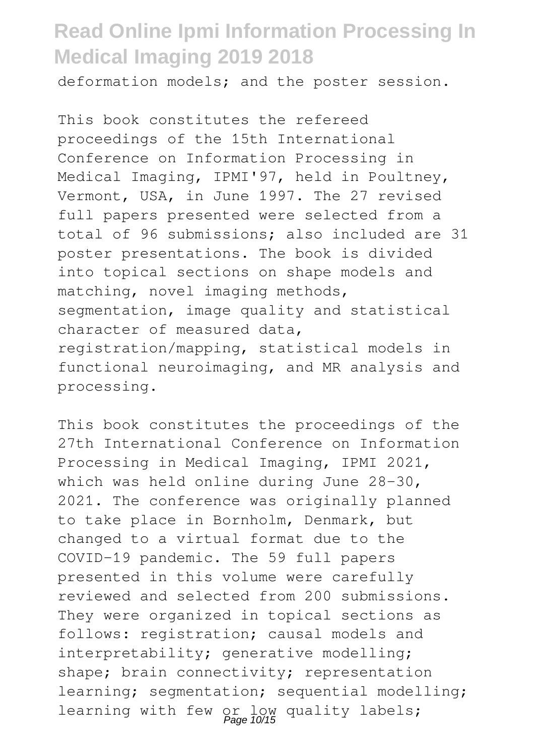deformation models; and the poster session.

This book constitutes the refereed proceedings of the 15th International Conference on Information Processing in Medical Imaging, IPMI'97, held in Poultney, Vermont, USA, in June 1997. The 27 revised full papers presented were selected from a total of 96 submissions; also included are 31 poster presentations. The book is divided into topical sections on shape models and matching, novel imaging methods, segmentation, image quality and statistical character of measured data, registration/mapping, statistical models in functional neuroimaging, and MR analysis and processing.

This book constitutes the proceedings of the 27th International Conference on Information Processing in Medical Imaging, IPMI 2021, which was held online during June 28-30, 2021. The conference was originally planned to take place in Bornholm, Denmark, but changed to a virtual format due to the COVID-19 pandemic. The 59 full papers presented in this volume were carefully reviewed and selected from 200 submissions. They were organized in topical sections as follows: registration; causal models and interpretability; generative modelling; shape; brain connectivity; representation learning; segmentation; sequential modelling; learning with few or low quality labels;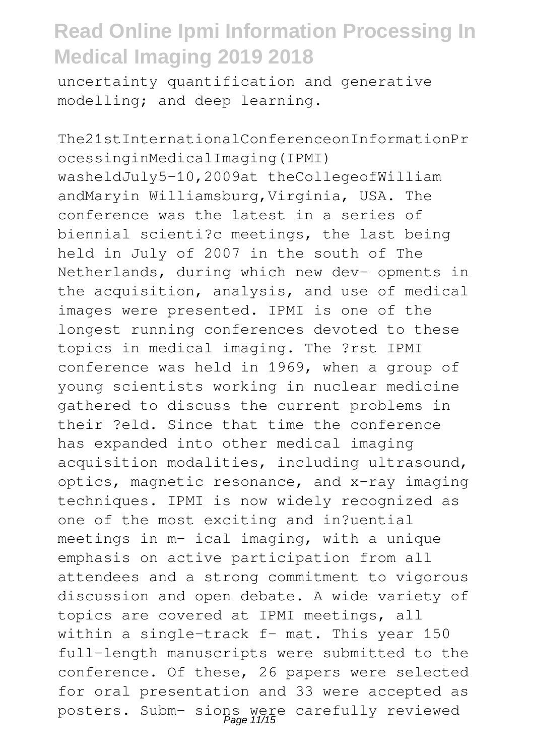uncertainty quantification and generative modelling; and deep learning.

The21stInternationalConferenceonInformationPr ocessinginMedicalImaging(IPMI) washeldJuly5–10,2009at theCollegeofWilliam andMaryin Williamsburg,Virginia, USA. The conference was the latest in a series of biennial scienti?c meetings, the last being held in July of 2007 in the south of The Netherlands, during which new dev- opments in the acquisition, analysis, and use of medical images were presented. IPMI is one of the longest running conferences devoted to these topics in medical imaging. The ?rst IPMI conference was held in 1969, when a group of young scientists working in nuclear medicine gathered to discuss the current problems in their ?eld. Since that time the conference has expanded into other medical imaging acquisition modalities, including ultrasound, optics, magnetic resonance, and x-ray imaging techniques. IPMI is now widely recognized as one of the most exciting and in?uential meetings in m- ical imaging, with a unique emphasis on active participation from all attendees and a strong commitment to vigorous discussion and open debate. A wide variety of topics are covered at IPMI meetings, all within a single-track f- mat. This year 150 full-length manuscripts were submitted to the conference. Of these, 26 papers were selected for oral presentation and 33 were accepted as posters. Subm- sions were carefully reviewed<br>Page 11/15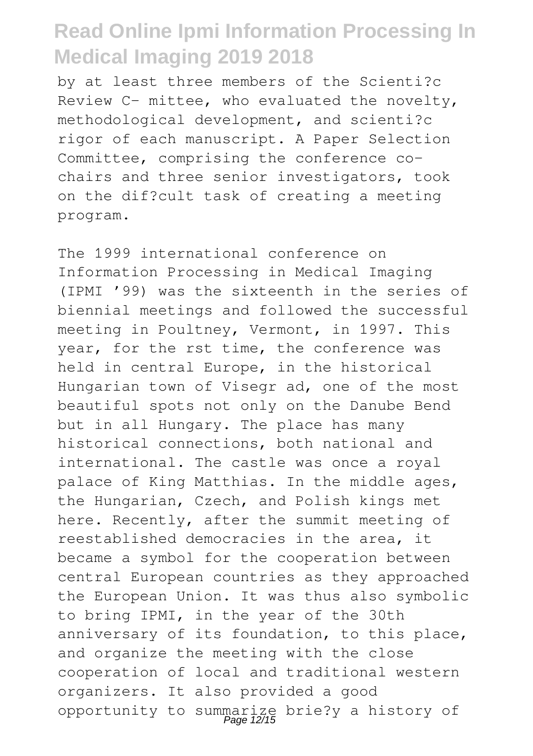by at least three members of the Scienti?c Review C- mittee, who evaluated the novelty, methodological development, and scienti?c rigor of each manuscript. A Paper Selection Committee, comprising the conference cochairs and three senior investigators, took on the dif?cult task of creating a meeting program.

The 1999 international conference on Information Processing in Medical Imaging (IPMI '99) was the sixteenth in the series of biennial meetings and followed the successful meeting in Poultney, Vermont, in 1997. This year, for the rst time, the conference was held in central Europe, in the historical Hungarian town of Visegr ad, one of the most beautiful spots not only on the Danube Bend but in all Hungary. The place has many historical connections, both national and international. The castle was once a royal palace of King Matthias. In the middle ages, the Hungarian, Czech, and Polish kings met here. Recently, after the summit meeting of reestablished democracies in the area, it became a symbol for the cooperation between central European countries as they approached the European Union. It was thus also symbolic to bring IPMI, in the year of the 30th anniversary of its foundation, to this place, and organize the meeting with the close cooperation of local and traditional western organizers. It also provided a good opportunity to summarize brie?y a history of Page 12/15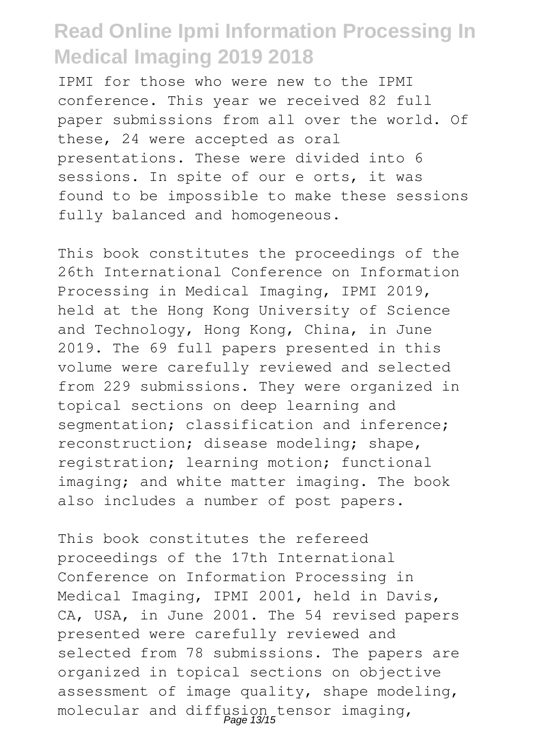IPMI for those who were new to the IPMI conference. This year we received 82 full paper submissions from all over the world. Of these, 24 were accepted as oral presentations. These were divided into 6 sessions. In spite of our e orts, it was found to be impossible to make these sessions fully balanced and homogeneous.

This book constitutes the proceedings of the 26th International Conference on Information Processing in Medical Imaging, IPMI 2019, held at the Hong Kong University of Science and Technology, Hong Kong, China, in June 2019. The 69 full papers presented in this volume were carefully reviewed and selected from 229 submissions. They were organized in topical sections on deep learning and segmentation; classification and inference; reconstruction; disease modeling; shape, registration; learning motion; functional imaging; and white matter imaging. The book also includes a number of post papers.

This book constitutes the refereed proceedings of the 17th International Conference on Information Processing in Medical Imaging, IPMI 2001, held in Davis, CA, USA, in June 2001. The 54 revised papers presented were carefully reviewed and selected from 78 submissions. The papers are organized in topical sections on objective assessment of image quality, shape modeling, molecular and diffusion tensor imaging,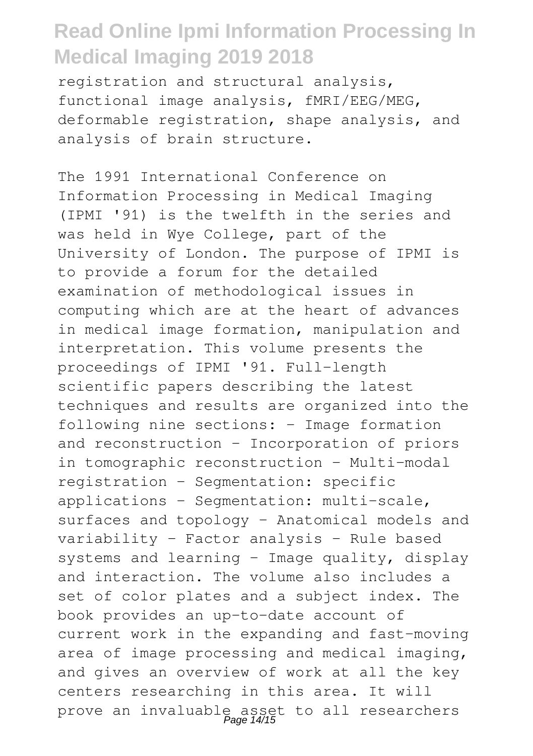registration and structural analysis, functional image analysis, fMRI/EEG/MEG, deformable registration, shape analysis, and analysis of brain structure.

The 1991 International Conference on Information Processing in Medical Imaging (IPMI '91) is the twelfth in the series and was held in Wye College, part of the University of London. The purpose of IPMI is to provide a forum for the detailed examination of methodological issues in computing which are at the heart of advances in medical image formation, manipulation and interpretation. This volume presents the proceedings of IPMI '91. Full-length scientific papers describing the latest techniques and results are organized into the following nine sections: - Image formation and reconstruction - Incorporation of priors in tomographic reconstruction - Multi-modal registration - Segmentation: specific applications - Segmentation: multi-scale, surfaces and topology - Anatomical models and variability - Factor analysis - Rule based systems and learning - Image quality, display and interaction. The volume also includes a set of color plates and a subject index. The book provides an up-to-date account of current work in the expanding and fast-moving area of image processing and medical imaging, and gives an overview of work at all the key centers researching in this area. It will prove an invaluable asset to all researchers Page 14/15